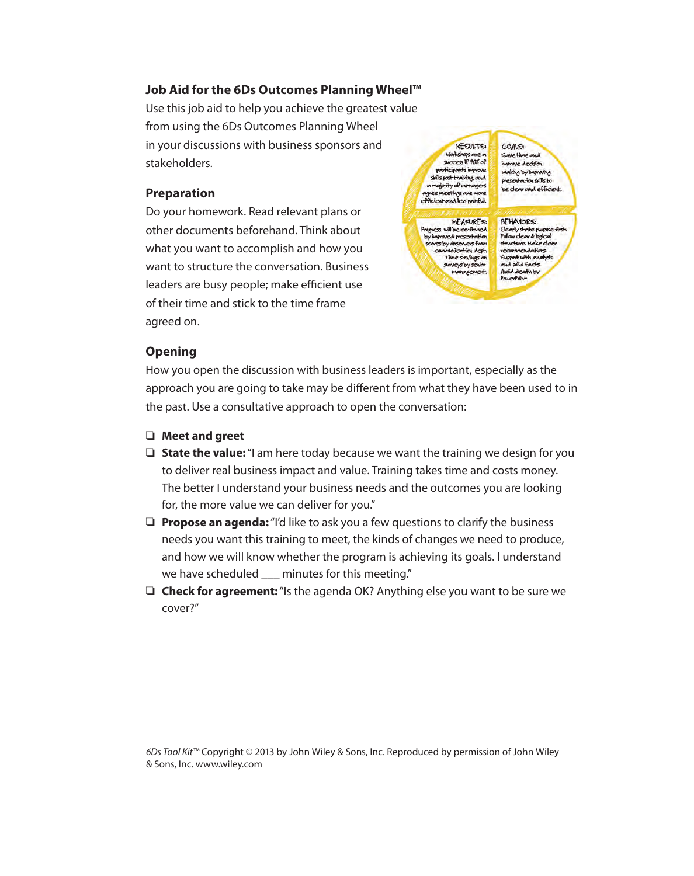## **Job Aid for the 6Ds Outcomes Planning Wheel™**

Use this job aid to help you achieve the greatest value from using the 6Ds Outcomes Planning Wheel in your discussions with business sponsors and stakeholders.

#### **Preparation**

Do your homework. Read relevant plans or other documents beforehand. Think about what you want to accomplish and how you want to structure the conversation. Business leaders are busy people; make efficient use of their time and stick to the time frame agreed on.

RESULTS: Workshops are a participants improve skills post-training, and a majority of managers agree meetings are mo efficient and less painful.

**MEASURES:** Progress will be confirmed mproved prese oves by observers from Mication dept Time savings on<br>surveys by senior lanager

GOALS: Some time and improve decision making by improving presentation skills to be clear and efficient.

**BEHAVIORS:** Clearly state purpose first.<br>Follow clear & logical<br>structure. Make clear endations with analysis Supp and solid facts. Avoid death by

## **Opening**

How you open the discussion with business leaders is important, especially as the approach you are going to take may be different from what they have been used to in the past. Use a consultative approach to open the conversation:

- ❏ **Meet and greet**
- ❏ **State the value:** "I am here today because we want the training we design for you to deliver real business impact and value. Training takes time and costs money. The better I understand your business needs and the outcomes you are looking for, the more value we can deliver for you."
- ❏ **Propose an agenda:** "I'd like to ask you a few questions to clarify the business needs you want this training to meet, the kinds of changes we need to produce, and how we will know whether the program is achieving its goals. I understand we have scheduled \_\_\_ minutes for this meeting."
- ❏ **Check for agreement:** "Is the agenda OK? Anything else you want to be sure we cover?"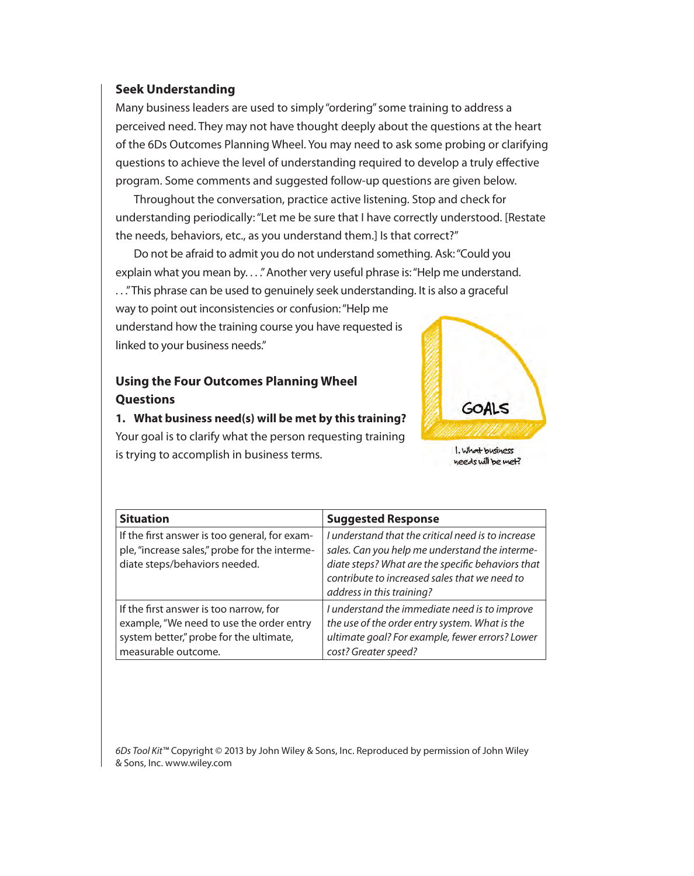#### **Seek Understanding**

Many business leaders are used to simply "ordering" some training to address a perceived need. They may not have thought deeply about the questions at the heart of the 6Ds Outcomes Planning Wheel. You may need to ask some probing or clarifying questions to achieve the level of understanding required to develop a truly effective program. Some comments and suggested follow-up questions are given below.

Throughout the conversation, practice active listening. Stop and check for understanding periodically: "Let me be sure that I have correctly understood. [Restate the needs, behaviors, etc., as you understand them.] Is that correct?"

Do not be afraid to admit you do not understand something. Ask: "Could you explain what you mean by. . . ." Another very useful phrase is: "Help me understand. . . ." This phrase can be used to genuinely seek understanding. It is also a graceful

way to point out inconsistencies or confusion: "Help me understand how the training course you have requested is linked to your business needs."

## **Using the Four Outcomes Planning Wheel Questions**

**1. What business need(s) will be met by this training?** Your goal is to clarify what the person requesting training is trying to accomplish in business terms.



needs will be met?

| <b>Situation</b>                                                                                                                                     | <b>Suggested Response</b>                                                                                                                                                                                                               |
|------------------------------------------------------------------------------------------------------------------------------------------------------|-----------------------------------------------------------------------------------------------------------------------------------------------------------------------------------------------------------------------------------------|
| If the first answer is too general, for exam-<br>ple, "increase sales," probe for the interme-<br>diate steps/behaviors needed.                      | I understand that the critical need is to increase<br>sales. Can you help me understand the interme-<br>diate steps? What are the specific behaviors that<br>contribute to increased sales that we need to<br>address in this training? |
| If the first answer is too narrow, for<br>example, "We need to use the order entry<br>system better," probe for the ultimate,<br>measurable outcome. | I understand the immediate need is to improve<br>the use of the order entry system. What is the<br>ultimate goal? For example, fewer errors? Lower<br>cost? Greater speed?                                                              |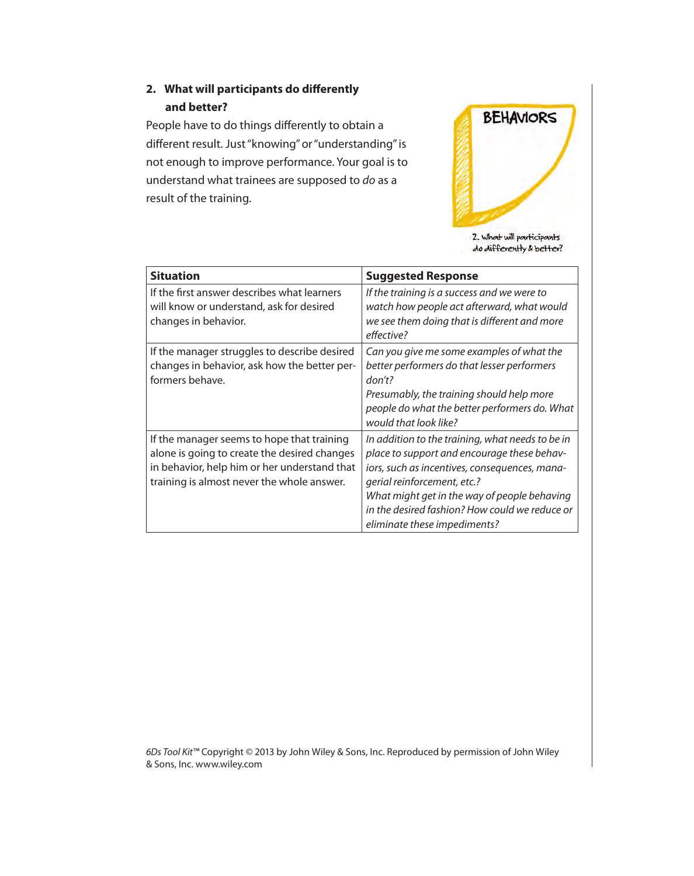# **2.** What will participants do differently **and better?**

People have to do things differently to obtain a different result. Just "knowing" or "understanding" is not enough to improve performance. Your goal is to understand what trainees are supposed to do as a result of the training.



do differently & better?

| <b>Situation</b>                                                                                                                                                                         | <b>Suggested Response</b>                                                                                                                                                                                                                                                                                         |
|------------------------------------------------------------------------------------------------------------------------------------------------------------------------------------------|-------------------------------------------------------------------------------------------------------------------------------------------------------------------------------------------------------------------------------------------------------------------------------------------------------------------|
| If the first answer describes what learners<br>will know or understand, ask for desired<br>changes in behavior.                                                                          | If the training is a success and we were to<br>watch how people act afterward, what would<br>we see them doing that is different and more<br>effective?                                                                                                                                                           |
| If the manager struggles to describe desired<br>changes in behavior, ask how the better per-<br>formers behave.                                                                          | Can you give me some examples of what the<br>better performers do that lesser performers<br>don't?<br>Presumably, the training should help more<br>people do what the better performers do. What<br>would that look like?                                                                                         |
| If the manager seems to hope that training<br>alone is going to create the desired changes<br>in behavior, help him or her understand that<br>training is almost never the whole answer. | In addition to the training, what needs to be in<br>place to support and encourage these behav-<br>iors, such as incentives, consequences, mana-<br>gerial reinforcement, etc.?<br>What might get in the way of people behaving<br>in the desired fashion? How could we reduce or<br>eliminate these impediments? |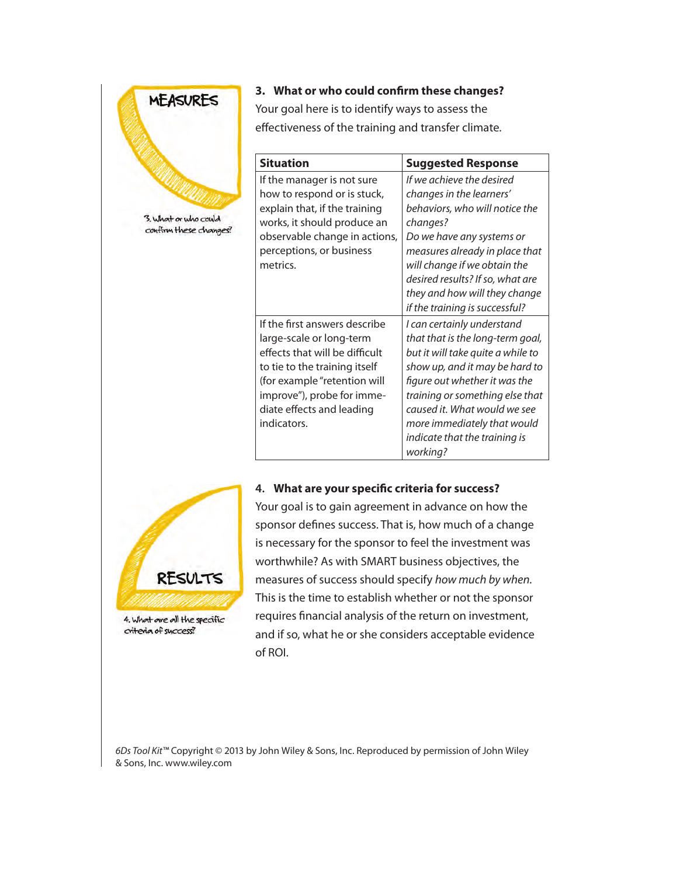

RESULTS

4. What are all the specific criteria of success?

**3. What or who could confirm these changes?** 

Your goal here is to identify ways to assess the effectiveness of the training and transfer climate.

| <b>Situation</b>                                                                                                                                                                                                                       | <b>Suggested Response</b>                                                                                                                                                                                                                                                                                             |
|----------------------------------------------------------------------------------------------------------------------------------------------------------------------------------------------------------------------------------------|-----------------------------------------------------------------------------------------------------------------------------------------------------------------------------------------------------------------------------------------------------------------------------------------------------------------------|
| If the manager is not sure<br>how to respond or is stuck,<br>explain that, if the training<br>works, it should produce an<br>observable change in actions,<br>perceptions, or business<br>metrics.                                     | If we achieve the desired<br>changes in the learners'<br>behaviors, who will notice the<br>changes?<br>Do we have any systems or<br>measures already in place that<br>will change if we obtain the<br>desired results? If so, what are<br>they and how will they change<br>if the training is successful?             |
| If the first answers describe<br>large-scale or long-term<br>effects that will be difficult<br>to tie to the training itself<br>(for example "retention will<br>improve"), probe for imme-<br>diate effects and leading<br>indicators. | I can certainly understand<br>that that is the long-term goal,<br>but it will take quite a while to<br>show up, and it may be hard to<br>figure out whether it was the<br>training or something else that<br>caused it. What would we see<br>more immediately that would<br>indicate that the training is<br>working? |

## 4. What are your specific criteria for success?



sponsor defines success. That is, how much of a change is necessary for the sponsor to feel the investment was measures of success should specify how much by when. This is the time to establish whether or not the sponsor requires financial analysis of the return on investment, and if so, what he or she considers acceptable evidence